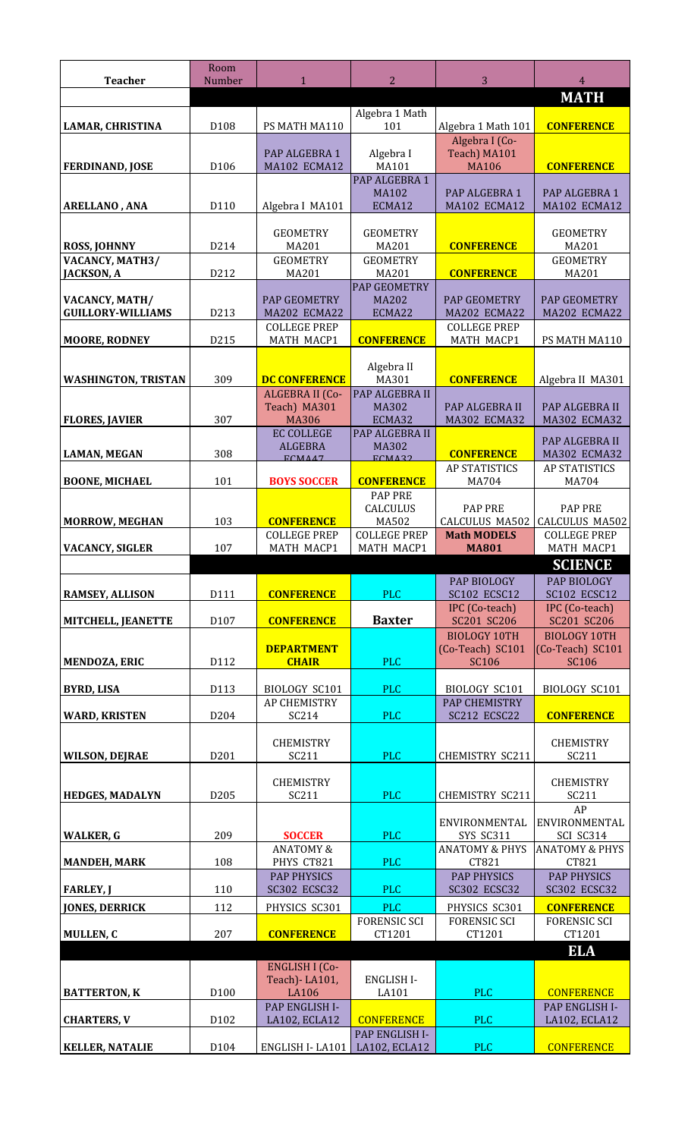| <b>Teacher</b>                             | Room<br>Number   | $\mathbf{1}$                                           | 2                                             | 3                                                       | 4                                                       |
|--------------------------------------------|------------------|--------------------------------------------------------|-----------------------------------------------|---------------------------------------------------------|---------------------------------------------------------|
|                                            |                  |                                                        | Algebra 1 Math                                |                                                         | <b>MATH</b>                                             |
| LAMAR, CHRISTINA                           | D <sub>108</sub> | PS MATH MA110                                          | 101                                           | Algebra 1 Math 101                                      | <b>CONFERENCE</b>                                       |
| <b>FERDINAND, JOSE</b>                     | D106             | PAP ALGEBRA 1<br>MA102 ECMA12                          | Algebra I<br>MA101                            | Algebra I (Co-<br>Teach) MA101<br><b>MA106</b>          | <b>CONFERENCE</b>                                       |
| <b>ARELLANO, ANA</b>                       | D110             | Algebra I MA101                                        | PAP ALGEBRA 1<br><b>MA102</b><br>ECMA12       | PAP ALGEBRA 1<br>MA102 ECMA12                           | PAP ALGEBRA 1<br>MA102 ECMA12                           |
| <b>ROSS, JOHNNY</b>                        | D214             | <b>GEOMETRY</b><br>MA201                               | <b>GEOMETRY</b><br>MA201                      | <b>CONFERENCE</b>                                       | <b>GEOMETRY</b><br>MA201                                |
| VACANCY, MATH3/<br><b>JACKSON, A</b>       | D212             | <b>GEOMETRY</b><br>MA201                               | <b>GEOMETRY</b><br>MA201                      | <b>CONFERENCE</b>                                       | <b>GEOMETRY</b><br>MA201                                |
| VACANCY, MATH/<br><b>GUILLORY-WILLIAMS</b> | D213             | PAP GEOMETRY<br>MA202 ECMA22<br><b>COLLEGE PREP</b>    | <b>PAP GEOMETRY</b><br><b>MA202</b><br>ECMA22 | PAP GEOMETRY<br>MA202 ECMA22<br><b>COLLEGE PREP</b>     | <b>PAP GEOMETRY</b><br>MA202 ECMA22                     |
| <b>MOORE, RODNEY</b>                       | D215             | MATH MACP1                                             | <b>CONFERENCE</b>                             | MATH MACP1                                              | PS MATH MA110                                           |
| <b>WASHINGTON, TRISTAN</b>                 | 309              | <b>DC CONFERENCE</b><br>ALGEBRA II (Co-                | Algebra II<br>MA301<br>PAP ALGEBRA II         | <b>CONFERENCE</b>                                       | Algebra II MA301                                        |
|                                            |                  | Teach) MA301                                           | MA302                                         | PAP ALGEBRA II                                          | PAP ALGEBRA II                                          |
| <b>FLORES, JAVIER</b>                      | 307              | <b>MA306</b><br><b>EC COLLEGE</b>                      | ECMA32<br>PAP ALGEBRA II                      | MA302 ECMA32                                            | <b>MA302 ECMA32</b>                                     |
| <b>LAMAN, MEGAN</b>                        | 308              | <b>ALGEBRA</b>                                         | MA302                                         | <b>CONFERENCE</b>                                       | PAP ALGEBRA II<br>MA302 ECMA32                          |
|                                            |                  | FCMA47                                                 | FCMA22                                        | <b>AP STATISTICS</b>                                    | <b>AP STATISTICS</b>                                    |
| <b>BOONE, MICHAEL</b>                      | 101              | <b>BOYS SOCCER</b>                                     | <b>CONFERENCE</b><br><b>PAP PRE</b>           | MA704                                                   | MA704                                                   |
| <b>MORROW, MEGHAN</b>                      | 103              | <b>CONFERENCE</b><br><b>COLLEGE PREP</b>               | CALCULUS<br>MA502<br><b>COLLEGE PREP</b>      | <b>PAP PRE</b><br>CALCULUS MA502<br><b>Math MODELS</b>  | <b>PAP PRE</b><br>CALCULUS MA502<br><b>COLLEGE PREP</b> |
| <b>VACANCY, SIGLER</b>                     | 107              | MATH MACP1                                             | MATH MACP1                                    | <b>MA801</b>                                            | <b>MATH MACP1</b>                                       |
|                                            |                  |                                                        |                                               |                                                         |                                                         |
|                                            |                  |                                                        |                                               |                                                         | <b>SCIENCE</b>                                          |
| <b>RAMSEY, ALLISON</b>                     | D111             | <b>CONFERENCE</b>                                      | <b>PLC</b>                                    | PAP BIOLOGY<br><b>SC102 ECSC12</b>                      | PAP BIOLOGY<br><b>SC102 ECSC12</b>                      |
| MITCHELL, JEANETTE                         | D107             | <b>CONFERENCE</b>                                      | <b>Baxter</b>                                 | IPC (Co-teach)<br>SC201 SC206                           | IPC (Co-teach)<br>SC201 SC206                           |
| <b>MENDOZA, ERIC</b>                       | D112             | <b>DEPARTMENT</b><br><b>CHAIR</b>                      | <b>PLC</b>                                    | <b>BIOLOGY 10TH</b><br>(Co-Teach) SC101<br><b>SC106</b> | <b>BIOLOGY 10TH</b><br>(Co-Teach) SC101<br><b>SC106</b> |
|                                            |                  |                                                        |                                               |                                                         |                                                         |
| <b>BYRD, LISA</b>                          | D113             | <b>BIOLOGY SC101</b><br><b>AP CHEMISTRY</b>            | <b>PLC</b>                                    | BIOLOGY SC101<br><b>PAP CHEMISTRY</b>                   | BIOLOGY SC101                                           |
| <b>WARD, KRISTEN</b>                       | D204             | SC214                                                  | <b>PLC</b>                                    | SC212 ECSC22                                            | <b>CONFERENCE</b>                                       |
| <b>WILSON, DEJRAE</b>                      | D201             | <b>CHEMISTRY</b><br>SC211                              | <b>PLC</b>                                    | CHEMISTRY SC211                                         | <b>CHEMISTRY</b><br>SC211                               |
|                                            |                  | <b>CHEMISTRY</b>                                       |                                               |                                                         | <b>CHEMISTRY</b>                                        |
| <b>HEDGES, MADALYN</b>                     | D <sub>205</sub> | SC211                                                  | <b>PLC</b>                                    | <b>CHEMISTRY SC211</b>                                  | SC211<br>AP                                             |
|                                            | 209              |                                                        |                                               | ENVIRONMENTAL                                           | ENVIRONMENTAL                                           |
| <b>WALKER, G</b>                           |                  | <b>SOCCER</b><br><b>ANATOMY &amp;</b>                  | <b>PLC</b>                                    | SYS SC311<br><b>ANATOMY &amp; PHYS</b>                  | SCI SC314<br><b>ANATOMY &amp; PHYS</b>                  |
| <b>MANDEH, MARK</b>                        | 108              | PHYS CT821<br><b>PAP PHYSICS</b>                       | <b>PLC</b>                                    | CT821<br><b>PAP PHYSICS</b>                             | CT821<br><b>PAP PHYSICS</b>                             |
| <b>FARLEY, J</b>                           | 110              | <b>SC302 ECSC32</b>                                    | <b>PLC</b>                                    | <b>SC302 ECSC32</b>                                     | <b>SC302 ECSC32</b>                                     |
| <b>JONES, DERRICK</b>                      | 112              | PHYSICS SC301                                          | <b>PLC</b><br><b>FORENSIC SCI</b>             | PHYSICS SC301<br><b>FORENSIC SCI</b>                    | <b>CONFERENCE</b><br><b>FORENSIC SCI</b>                |
| MULLEN, C                                  | 207              | <b>CONFERENCE</b>                                      | CT1201                                        | CT1201                                                  | CT1201                                                  |
|                                            |                  |                                                        |                                               |                                                         | <b>ELA</b>                                              |
|                                            |                  | <b>ENGLISH I (Co-</b><br>Teach) - LA101,               | <b>ENGLISH I-</b>                             |                                                         |                                                         |
| <b>BATTERTON, K</b><br><b>CHARTERS, V</b>  | D100<br>D102     | <b>LA106</b><br><b>PAP ENGLISH I-</b><br>LA102, ECLA12 | LA101<br><b>CONFERENCE</b>                    | <b>PLC</b><br><b>PLC</b>                                | <b>CONFERENCE</b><br>PAP ENGLISH I-<br>LA102, ECLA12    |
| <b>KELLER, NATALIE</b>                     | D <sub>104</sub> | ENGLISH I-LA101                                        | PAP ENGLISH I-<br>LA102, ECLA12               | <b>PLC</b>                                              | <b>CONFERENCE</b>                                       |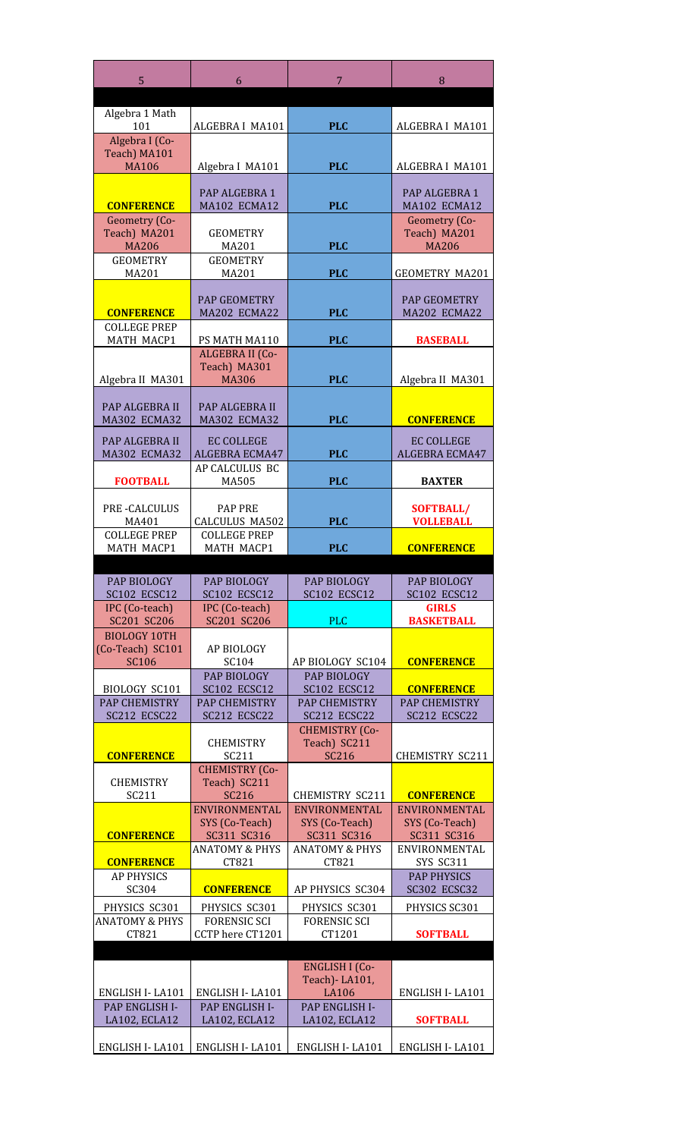| 5                                            | 6                                       | 7                                       | 8                                         |
|----------------------------------------------|-----------------------------------------|-----------------------------------------|-------------------------------------------|
|                                              |                                         |                                         |                                           |
| Algebra 1 Math<br>101                        | ALGEBRA I MA101                         | <b>PLC</b>                              | ALGEBRA I MA101                           |
| Algebra I (Co-                               |                                         |                                         |                                           |
| Teach) MA101                                 |                                         |                                         |                                           |
| <b>MA106</b>                                 | Algebra I MA101                         | <b>PLC</b>                              | ALGEBRA I MA101                           |
|                                              | PAP ALGEBRA 1                           |                                         | PAP ALGEBRA 1                             |
| <b>CONFERENCE</b>                            | MA102 ECMA12                            | <b>PLC</b>                              | MA102 ECMA12                              |
| Geometry (Co-                                |                                         |                                         | Geometry (Co-                             |
| Teach) MA201<br><b>MA206</b>                 | <b>GEOMETRY</b><br>MA201                | <b>PLC</b>                              | Teach) MA201<br><b>MA206</b>              |
| <b>GEOMETRY</b>                              | <b>GEOMETRY</b>                         |                                         |                                           |
| MA201                                        | MA201                                   | <b>PLC</b>                              | <b>GEOMETRY MA201</b>                     |
|                                              |                                         |                                         |                                           |
| <b>CONFERENCE</b>                            | <b>PAP GEOMETRY</b><br>MA202 ECMA22     | <b>PLC</b>                              | <b>PAP GEOMETRY</b><br>MA202 ECMA22       |
| <b>COLLEGE PREP</b>                          |                                         |                                         |                                           |
| MATH MACP1                                   | PS MATH MA110                           | <b>PLC</b>                              | <b>BASEBALL</b>                           |
|                                              | ALGEBRA II (Co-<br>Teach) MA301         |                                         |                                           |
| Algebra II MA301                             | <b>MA306</b>                            | <b>PLC</b>                              | Algebra II MA301                          |
|                                              |                                         |                                         |                                           |
| <b>PAP ALGEBRA II</b><br><b>MA302 ECMA32</b> | PAP ALGEBRA II<br><b>MA302 ECMA32</b>   | <b>PLC</b>                              | <b>CONFERENCE</b>                         |
|                                              |                                         |                                         |                                           |
| PAP ALGEBRA II<br><b>MA302 ECMA32</b>        | <b>EC COLLEGE</b><br>ALGEBRA ECMA47     | <b>PLC</b>                              | <b>EC COLLEGE</b><br>ALGEBRA ECMA47       |
|                                              | AP CALCULUS BC                          |                                         |                                           |
| <b>FOOTBALL</b>                              | MA505                                   | <b>PLC</b>                              | <b>BAXTER</b>                             |
| <b>PRE-CALCULUS</b>                          | <b>PAP PRE</b>                          |                                         | <b>SOFTBALL/</b>                          |
| MA401                                        | CALCULUS MA502                          | <b>PLC</b>                              | <b>VOLLEBALL</b>                          |
| <b>COLLEGE PREP</b>                          | <b>COLLEGE PREP</b>                     |                                         |                                           |
| MATH MACP1                                   | <b>MATH MACP1</b>                       | <b>PLC</b>                              | <b>CONFERENCE</b>                         |
| <b>PAP BIOLOGY</b>                           | <b>PAP BIOLOGY</b>                      | PAP BIOLOGY                             | <b>PAP BIOLOGY</b>                        |
| <b>SC102 ECSC12</b>                          | SC102 ECSC12                            | SC102 ECSC12                            | SC102 ECSC12                              |
| IPC (Co-teach)                               | IPC (Co-teach)                          |                                         | <b>GIRLS</b>                              |
| SC201 SC206<br><b>BIOLOGY 10TH</b>           | SC201 SC206                             | <b>PLC</b>                              | <b>BASKETBALL</b>                         |
| (Co-Teach) SC101                             | <b>AP BIOLOGY</b>                       |                                         |                                           |
| <b>SC106</b>                                 | SC <sub>104</sub>                       | AP BIOLOGY SC104                        | <b>CONFERENCE</b>                         |
|                                              | PAP BIOLOGY<br><b>SC102 ECSC12</b>      | PAP BIOLOGY                             |                                           |
| <b>BIOLOGY SC101</b><br><b>PAP CHEMISTRY</b> | <b>PAP CHEMISTRY</b>                    | SC102 ECSC12<br><b>PAP CHEMISTRY</b>    | <b>CONFERENCE</b><br><b>PAP CHEMISTRY</b> |
| SC212 ECSC22                                 | SC212 ECSC22                            | SC212 ECSC22                            | SC212 ECSC22                              |
|                                              |                                         | <b>CHEMISTRY (Co-</b>                   |                                           |
| <b>CONFERENCE</b>                            | <b>CHEMISTRY</b><br>SC <sub>211</sub>   | Teach) SC211<br>SC216                   | <b>CHEMISTRY SC211</b>                    |
|                                              | <b>CHEMISTRY (Co-</b>                   |                                         |                                           |
| <b>CHEMISTRY</b>                             | Teach) SC211                            |                                         |                                           |
| SC211                                        | <b>SC216</b><br>ENVIRONMENTAL           | <b>CHEMISTRY SC211</b><br>ENVIRONMENTAL | <b>CONFERENCE</b><br>ENVIRONMENTAL        |
|                                              | SYS (Co-Teach)                          | SYS (Co-Teach)                          | SYS (Co-Teach)                            |
| <b>CONFERENCE</b>                            | SC311 SC316                             | SC311 SC316                             | SC311 SC316                               |
| <b>CONFERENCE</b>                            | <b>ANATOMY &amp; PHYS</b><br>CT821      | <b>ANATOMY &amp; PHYS</b><br>CT821      | ENVIRONMENTAL<br><b>SYS SC311</b>         |
| <b>AP PHYSICS</b>                            |                                         |                                         | <b>PAP PHYSICS</b>                        |
| SC304                                        | <b>CONFERENCE</b>                       | AP PHYSICS SC304                        | <b>SC302 ECSC32</b>                       |
| PHYSICS SC301                                | PHYSICS SC301                           | PHYSICS SC301                           | PHYSICS SC301                             |
| <b>ANATOMY &amp; PHYS</b><br>CT821           | <b>FORENSIC SCI</b><br>CCTP here CT1201 | <b>FORENSIC SCI</b><br>CT1201           | <b>SOFTBALL</b>                           |
|                                              |                                         |                                         |                                           |
|                                              |                                         | <b>ENGLISH I (Co-</b>                   |                                           |
|                                              |                                         | Teach) - LA101,                         |                                           |
| ENGLISH I-LA101<br>PAP ENGLISH I-            | ENGLISH I-LA101<br>PAP ENGLISH I-       | <b>LA106</b><br>PAP ENGLISH I-          | ENGLISH I-LA101                           |
| LA102, ECLA12                                | LA102, ECLA12                           | LA102, ECLA12                           | <b>SOFTBALL</b>                           |
| ENGLISH I-LA101                              | ENGLISH I-LA101                         | ENGLISH I-LA101                         | ENGLISH I-LA101                           |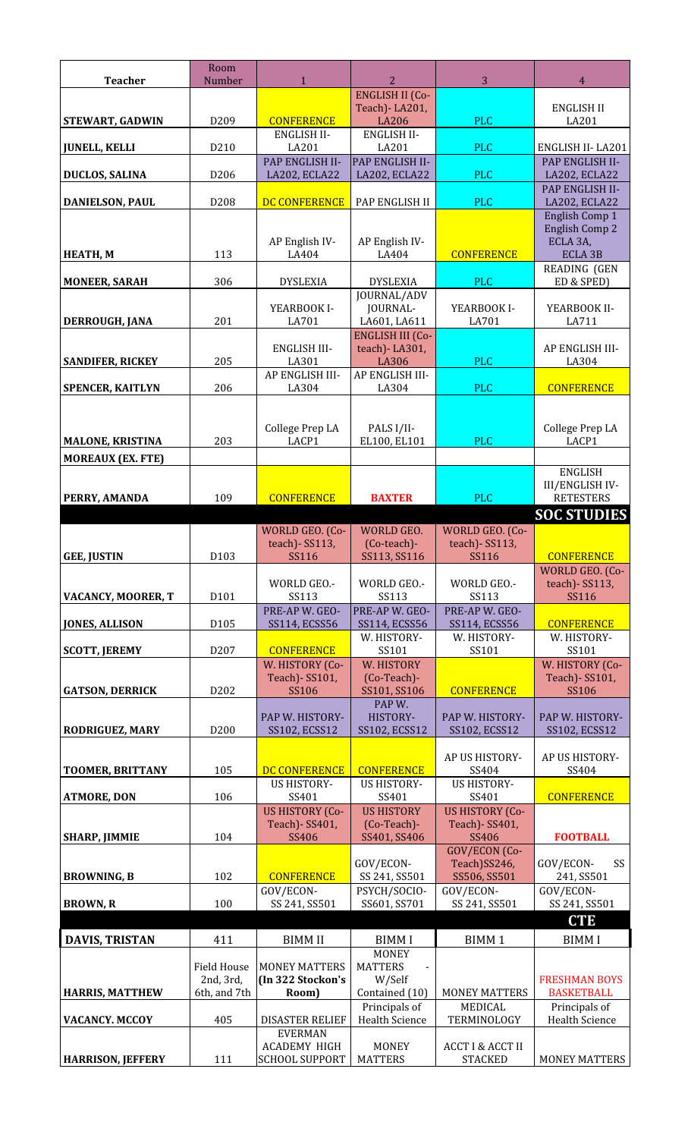|                          | Room                          |                                              |                                                  |                                               |                                        |
|--------------------------|-------------------------------|----------------------------------------------|--------------------------------------------------|-----------------------------------------------|----------------------------------------|
| <b>Teacher</b>           | Number                        | $\mathbf{1}$                                 | 2<br><b>ENGLISH II (Co-</b>                      | 3                                             | 4                                      |
|                          |                               |                                              | Teach) - LA201,                                  |                                               | ENGLISH II                             |
| <b>STEWART, GADWIN</b>   | D <sub>209</sub>              | <b>CONFERENCE</b><br><b>ENGLISH II-</b>      | <b>LA206</b><br><b>ENGLISH II-</b>               | <b>PLC</b>                                    | LA201                                  |
| <b>JUNELL, KELLI</b>     | D <sub>210</sub>              | LA201                                        | LA201                                            | <b>PLC</b>                                    | ENGLISH II-LA201                       |
| <b>DUCLOS, SALINA</b>    | D <sub>206</sub>              | PAP ENGLISH II-<br>LA202, ECLA22             | <b>PAP ENGLISH II-</b><br>LA202, ECLA22          | <b>PLC</b>                                    | PAP ENGLISH II-<br>LA202, ECLA22       |
|                          |                               |                                              |                                                  |                                               | <b>PAP ENGLISH II-</b>                 |
| <b>DANIELSON, PAUL</b>   | D <sub>208</sub>              | <b>DC CONFERENCE</b>                         | PAP ENGLISH II                                   | <b>PLC</b>                                    | LA202, ECLA22<br>English Comp 1        |
|                          |                               |                                              |                                                  |                                               | <b>English Comp 2</b>                  |
| <b>HEATH, M</b>          | 113                           | AP English IV-<br>LA404                      | AP English IV-<br>LA404                          | <b>CONFERENCE</b>                             | ECLA 3A,<br><b>ECLA 3B</b>             |
|                          |                               |                                              |                                                  |                                               | <b>READING (GEN</b>                    |
| <b>MONEER, SARAH</b>     | 306                           | <b>DYSLEXIA</b>                              | <b>DYSLEXIA</b><br>JOURNAL/ADV                   | <b>PLC</b>                                    | ED & SPED)                             |
|                          |                               | YEARBOOK I-                                  | <b>JOURNAL-</b>                                  | YEARBOOK I-                                   | YEARBOOK II-                           |
| DERROUGH, JANA           | 201                           | LA701                                        | LA601, LA611                                     | LA701                                         | LA711                                  |
|                          |                               | <b>ENGLISH III-</b>                          | <b>ENGLISH III (Co-</b><br>teach) - LA301,       |                                               | AP ENGLISH III-                        |
| <b>SANDIFER, RICKEY</b>  | 205                           | LA301                                        | LA306                                            | <b>PLC</b>                                    | LA304                                  |
| <b>SPENCER, KAITLYN</b>  | 206                           | AP ENGLISH III-<br>LA304                     | AP ENGLISH III-<br>LA304                         | <b>PLC</b>                                    | <b>CONFERENCE</b>                      |
|                          |                               |                                              |                                                  |                                               |                                        |
|                          |                               | College Prep LA                              | PALS I/II-                                       |                                               | College Prep LA                        |
| <b>MALONE, KRISTINA</b>  | 203                           | LACP1                                        | EL100, EL101                                     | <b>PLC</b>                                    | LACP1                                  |
| <b>MOREAUX (EX. FTE)</b> |                               |                                              |                                                  |                                               | <b>ENGLISH</b>                         |
|                          |                               |                                              |                                                  |                                               | <b>III/ENGLISH IV-</b>                 |
| PERRY, AMANDA            | 109                           | <b>CONFERENCE</b>                            | <b>BAXTER</b>                                    | <b>PLC</b>                                    | <b>RETESTERS</b>                       |
|                          |                               | WORLD GEO. (Co-                              | WORLD GEO.                                       | WORLD GEO. (Co-                               | <b>SOC STUDIES</b>                     |
|                          |                               | teach) - SS113,                              | (Co-teach)-                                      | teach) - SS113,                               |                                        |
| <b>GEE, JUSTIN</b>       | D103                          | SS116                                        | SS113, SS116                                     | SS116                                         | <b>CONFERENCE</b>                      |
|                          |                               | WORLD GEO .-                                 | WORLD GEO.-                                      | WORLD GEO.-                                   | WORLD GEO. (Co-<br>teach) - SS113,     |
| VACANCY, MOORER, T       | D101                          | <b>SS113</b>                                 | <b>SS113</b>                                     | <b>SS113</b>                                  | SS116                                  |
| <b>JONES, ALLISON</b>    | D105                          | PRE-AP W. GEO-<br>SS114, ECSS56              | PRE-AP W. GEO-<br>SS114, ECSS56                  | PRE-AP W. GEO-<br>SS114, ECSS56               | <b>CONFERENCE</b>                      |
|                          | D207                          |                                              | W. HISTORY-                                      | W. HISTORY-                                   | W. HISTORY-<br>SS101                   |
| <b>SCOTT, JEREMY</b>     |                               | <b>CONFERENCE</b><br>W. HISTORY (Co-         | SS101<br>W. HISTORY                              | SS101                                         | W. HISTORY (Co-                        |
|                          |                               | Teach) - SS101,                              | (Co-Teach)-                                      |                                               | Teach) - SS101,                        |
| <b>GATSON, DERRICK</b>   | D <sub>2</sub> 0 <sub>2</sub> | SS106                                        | SS101, SS106<br>PAP W.                           | <b>CONFERENCE</b>                             | SS106                                  |
|                          |                               | PAP W. HISTORY-                              | HISTORY-                                         | PAP W. HISTORY-                               | PAP W. HISTORY-                        |
| <b>RODRIGUEZ, MARY</b>   | D200                          | SS102, ECSS12                                | SS102, ECSS12                                    | SS102, ECSS12                                 | SS102, ECSS12                          |
|                          |                               |                                              |                                                  | AP US HISTORY-                                | AP US HISTORY-                         |
| <b>TOOMER, BRITTANY</b>  | 105                           | DC CONFERENCE<br><b>US HISTORY-</b>          | <b>CONFERENCE</b><br><b>US HISTORY-</b>          | SS404<br><b>US HISTORY-</b>                   | SS404                                  |
| <b>ATMORE, DON</b>       | 106                           | SS401                                        | SS401                                            | SS401                                         | <b>CONFERENCE</b>                      |
|                          |                               | <b>US HISTORY (Co-</b><br>Teach) - SS401,    | <b>US HISTORY</b><br>(Co-Teach)-                 | <b>US HISTORY (Co-</b><br>Teach) - SS401,     |                                        |
| <b>SHARP, JIMMIE</b>     | 104                           | SS406                                        | SS401, SS406                                     | SS406                                         | <b>FOOTBALL</b>                        |
|                          |                               |                                              | GOV/ECON-                                        | GOV/ECON (Co-<br>Teach)SS246,                 | GOV/ECON-<br>SS                        |
| <b>BROWNING, B</b>       | 102                           | <b>CONFERENCE</b>                            | SS 241, SS501                                    | SS506, SS501                                  | 241, SS501                             |
| <b>BROWN, R</b>          | 100                           | GOV/ECON-<br>SS 241, SS501                   | PSYCH/SOCIO-<br>SS601, SS701                     | GOV/ECON-<br>SS 241, SS501                    | GOV/ECON-<br>SS 241, SS501             |
|                          |                               |                                              |                                                  |                                               | <b>CTE</b>                             |
| <b>DAVIS, TRISTAN</b>    | 411                           | <b>BIMM II</b>                               | <b>BIMMI</b>                                     | <b>BIMM1</b>                                  | <b>BIMMI</b>                           |
|                          | <b>Field House</b>            | <b>MONEY MATTERS</b>                         | <b>MONEY</b><br><b>MATTERS</b><br>$\blacksquare$ |                                               |                                        |
|                          | 2nd, 3rd,                     | (In 322 Stockon's                            | W/Self                                           |                                               | <b>FRESHMAN BOYS</b>                   |
| <b>HARRIS, MATTHEW</b>   | 6th, and 7th                  | Room)                                        | Contained (10)                                   | <b>MONEY MATTERS</b>                          | <b>BASKETBALL</b>                      |
| <b>VACANCY. MCCOY</b>    | 405                           | <b>DISASTER RELIEF</b>                       | Principals of<br><b>Health Science</b>           | MEDICAL<br>TERMINOLOGY                        | Principals of<br><b>Health Science</b> |
|                          |                               | <b>EVERMAN</b>                               |                                                  |                                               |                                        |
| <b>HARRISON, JEFFERY</b> | 111                           | <b>ACADEMY HIGH</b><br><b>SCHOOL SUPPORT</b> | <b>MONEY</b><br><b>MATTERS</b>                   | <b>ACCT I &amp; ACCT II</b><br><b>STACKED</b> | MONEY MATTERS                          |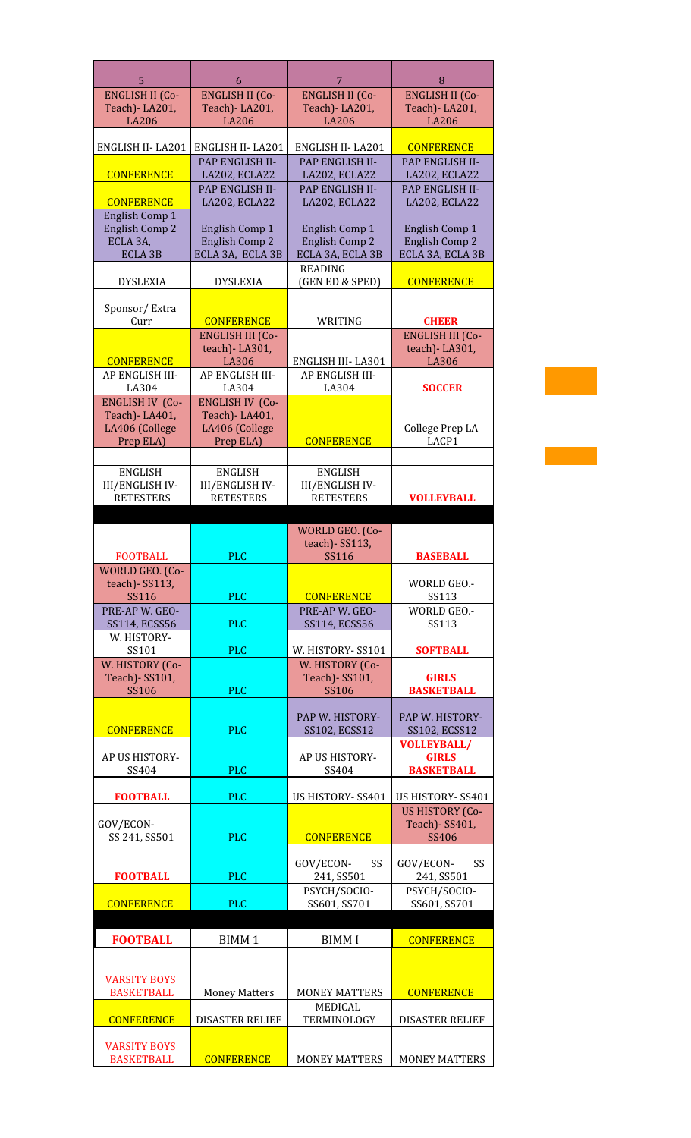| 5<br><b>ENGLISH II (Co-</b>               | 6<br><b>ENGLISH II (Co-</b>               | 7<br><b>ENGLISH II (Co-</b>               | 8<br><b>ENGLISH II (Co-</b>                |
|-------------------------------------------|-------------------------------------------|-------------------------------------------|--------------------------------------------|
| Teach) - LA201,                           | Teach) - LA201,                           | Teach) - LA201,                           | Teach) - LA201,                            |
| <b>LA206</b>                              | <b>LA206</b>                              | <b>LA206</b>                              | <b>LA206</b>                               |
| ENGLISH II-LA201                          | ENGLISH II-LA201                          | ENGLISH II-LA201                          | <b>CONFERENCE</b>                          |
|                                           | PAP ENGLISH II-                           | PAP ENGLISH II-                           | PAP ENGLISH II-                            |
| <b>CONFERENCE</b>                         | LA202, ECLA22<br>PAP ENGLISH II-          | LA202, ECLA22<br>PAP ENGLISH II-          | LA202, ECLA22<br>PAP ENGLISH II-           |
| <b>CONFERENCE</b>                         | LA202, ECLA22                             | LA202, ECLA22                             | LA202, ECLA22                              |
| English Comp 1<br><b>English Comp 2</b>   | English Comp 1                            | English Comp 1                            | English Comp 1                             |
| ECLA 3A,                                  | English Comp 2                            | <b>English Comp 2</b>                     | English Comp 2                             |
| <b>ECLA 3B</b>                            | ECLA 3A, ECLA 3B                          | ECLA 3A, ECLA 3B                          | ECLA 3A, ECLA 3B                           |
| <b>DYSLEXIA</b>                           | <b>DYSLEXIA</b>                           | <b>READING</b><br>(GEN ED & SPED)         | <b>CONFERENCE</b>                          |
|                                           |                                           |                                           |                                            |
| Sponsor/Extra<br>Curr                     | <b>CONFERENCE</b>                         | WRITING                                   | <b>CHEER</b>                               |
|                                           | <b>ENGLISH III (Co-</b>                   |                                           | <b>ENGLISH III (Co-</b>                    |
|                                           | teach)-LA301,                             |                                           | teach)-LA301,                              |
| <b>CONFERENCE</b><br>AP ENGLISH III-      | LA306<br>AP ENGLISH III-                  | ENGLISH III-LA301<br>AP ENGLISH III-      | LA306                                      |
| LA304                                     | LA304                                     | LA304                                     | <b>SOCCER</b>                              |
| <b>ENGLISH IV (Co-</b><br>Teach) - LA401, | <b>ENGLISH IV (Co-</b><br>Teach) - LA401, |                                           |                                            |
| LA406 (College                            | LA406 (College                            |                                           | College Prep LA                            |
| Prep ELA)                                 | Prep ELA)                                 | <b>CONFERENCE</b>                         | LACP1                                      |
|                                           |                                           |                                           |                                            |
| <b>ENGLISH</b><br><b>III/ENGLISH IV-</b>  | <b>ENGLISH</b><br><b>III/ENGLISH IV-</b>  | <b>ENGLISH</b><br><b>III/ENGLISH IV-</b>  |                                            |
| <b>RETESTERS</b>                          | <b>RETESTERS</b>                          | <b>RETESTERS</b>                          | <b>VOLLEYBALL</b>                          |
|                                           |                                           |                                           |                                            |
|                                           |                                           | <b>WORLD GEO. (Co-</b><br>teach) - SS113, |                                            |
| <b>FOOTBALL</b>                           | <b>PLC</b>                                | SS116                                     | <b>BASEBALL</b>                            |
| WORLD GEO. (Co-<br>teach) - SS113,        |                                           |                                           | WORLD GEO.-                                |
| <b>SS116</b>                              | <b>PLC</b>                                | <b>CONFERENCE</b>                         | SS113                                      |
| PRE-AP W. GEO-                            |                                           | PRE-AP W. GEO-                            | <b>WORLD GEO.-</b>                         |
| SS114, ECSS56<br>W. HISTORY-              | <b>PLC</b>                                | SS114, ECSS56                             | SS113                                      |
| SS101                                     | <b>PLC</b>                                | W. HISTORY-SS101                          | <b>SOFTBALL</b>                            |
| W. HISTORY (Co-<br>Teach) - SS101,        |                                           | W. HISTORY (Co-<br>Teach) - SS101,        | <b>GIRLS</b>                               |
| <b>SS106</b>                              | <b>PLC</b>                                | <b>SS106</b>                              | <b>BASKETBALL</b>                          |
|                                           |                                           | PAP W. HISTORY-                           | PAP W. HISTORY-                            |
| <b>CONFERENCE</b>                         | <b>PLC</b>                                | SS102, ECSS12                             | SS102, ECSS12                              |
| AP US HISTORY-                            |                                           | AP US HISTORY-                            | <b>VOLLEYBALL/</b><br><b>GIRLS</b>         |
| SS404                                     | <b>PLC</b>                                | SS404                                     | <b>BASKETBALL</b>                          |
|                                           |                                           |                                           |                                            |
| <b>FOOTBALL</b>                           |                                           |                                           |                                            |
|                                           | <b>PLC</b>                                | US HISTORY-SS401                          | US HISTORY-SS401<br><b>US HISTORY (Co-</b> |
| GOV/ECON-                                 |                                           |                                           | Teach) - SS401,                            |
| SS 241, SS501                             | <b>PLC</b>                                | <b>CONFERENCE</b>                         | SS406                                      |
| <b>FOOTBALL</b>                           | <b>PLC</b>                                | GOV/ECON-<br>SS<br>241, SS501             | GOV/ECON-<br>SS<br>241, SS501              |
|                                           |                                           | PSYCH/SOCIO-                              | PSYCH/SOCIO-                               |
| <b>CONFERENCE</b>                         | <b>PLC</b>                                | SS601, SS701                              | SS601, SS701                               |
| <b>FOOTBALL</b>                           |                                           |                                           |                                            |
|                                           | <b>BIMM1</b>                              | <b>BIMMI</b>                              | <b>CONFERENCE</b>                          |
|                                           |                                           |                                           |                                            |
| <b>VARSITY BOYS</b><br><b>BASKETBALL</b>  | <b>Money Matters</b>                      | <b>MONEY MATTERS</b>                      | <b>CONFERENCE</b>                          |
|                                           |                                           | <b>MEDICAL</b>                            |                                            |
| <b>CONFERENCE</b>                         | <b>DISASTER RELIEF</b>                    | TERMINOLOGY                               | <b>DISASTER RELIEF</b>                     |
| <b>VARSITY BOYS</b><br><b>BASKETBALL</b>  | <b>CONFERENCE</b>                         | <b>MONEY MATTERS</b>                      | <b>MONEY MATTERS</b>                       |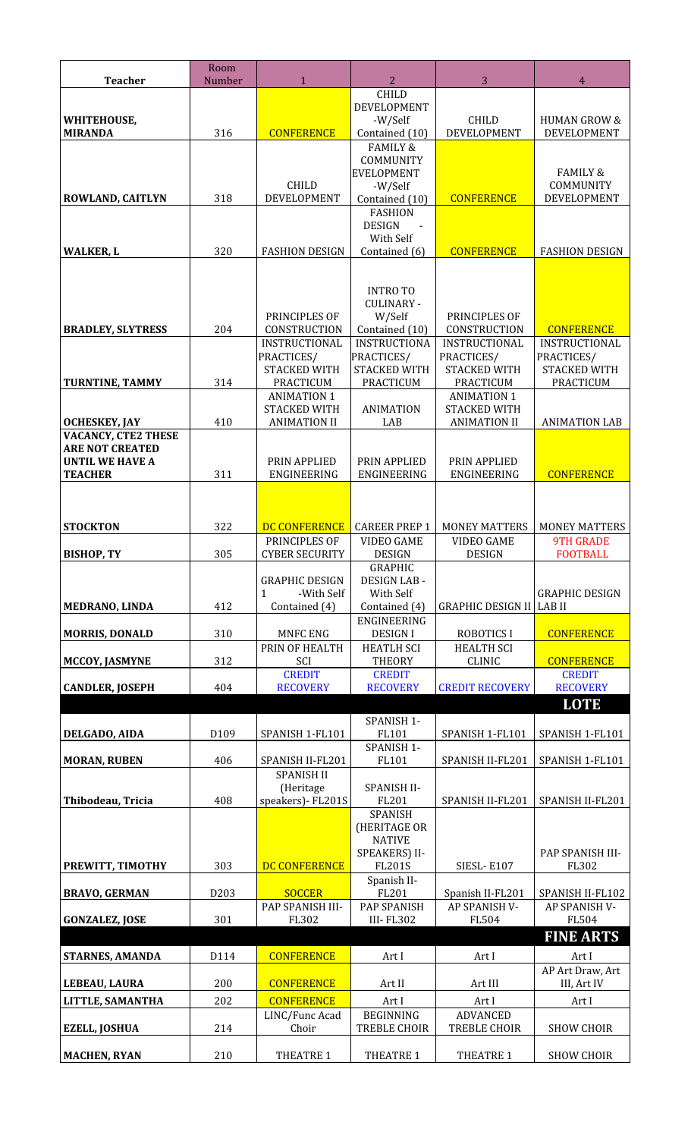| <b>Teacher</b>                                   | Room<br>Number | $\mathbf{1}$                              | 3<br>2                                       |                                           | 4                                |
|--------------------------------------------------|----------------|-------------------------------------------|----------------------------------------------|-------------------------------------------|----------------------------------|
|                                                  |                |                                           | <b>CHILD</b>                                 |                                           |                                  |
|                                                  |                |                                           | DEVELOPMENT<br>-W/Self                       | <b>CHILD</b>                              | <b>HUMAN GROW &amp;</b>          |
| WHITEHOUSE,<br><b>MIRANDA</b>                    | 316            | <b>CONFERENCE</b>                         | Contained (10)                               | <b>DEVELOPMENT</b>                        | DEVELOPMENT                      |
|                                                  |                |                                           | <b>FAMILY &amp;</b>                          |                                           |                                  |
|                                                  |                |                                           | COMMUNITY<br><b>EVELOPMENT</b>               |                                           | <b>FAMILY &amp;</b>              |
|                                                  |                | <b>CHILD</b>                              | -W/Self                                      |                                           | COMMUNITY                        |
| ROWLAND, CAITLYN                                 | 318            | DEVELOPMENT                               | Contained (10)                               | <b>CONFERENCE</b>                         | DEVELOPMENT                      |
|                                                  |                |                                           | <b>FASHION</b>                               |                                           |                                  |
|                                                  |                |                                           | <b>DESIGN</b><br>$\blacksquare$<br>With Self |                                           |                                  |
| <b>WALKER, L</b>                                 | 320            | <b>FASHION DESIGN</b>                     | Contained (6)                                | <b>CONFERENCE</b>                         | <b>FASHION DESIGN</b>            |
|                                                  |                |                                           |                                              |                                           |                                  |
|                                                  |                |                                           | <b>INTRO TO</b>                              |                                           |                                  |
|                                                  |                |                                           | <b>CULINARY -</b>                            |                                           |                                  |
|                                                  |                | PRINCIPLES OF                             | W/Self                                       | PRINCIPLES OF                             |                                  |
| <b>BRADLEY, SLYTRESS</b>                         | 204            | CONSTRUCTION<br><b>INSTRUCTIONAL</b>      | Contained (10)<br><b>INSTRUCTIONA</b>        | CONSTRUCTION<br><b>INSTRUCTIONAL</b>      | <b>CONFERENCE</b>                |
|                                                  |                | PRACTICES/                                | PRACTICES/                                   | PRACTICES/                                | INSTRUCTIONAL<br>PRACTICES/      |
|                                                  |                | STACKED WITH                              | <b>STACKED WITH</b>                          | <b>STACKED WITH</b>                       | <b>STACKED WITH</b>              |
| TURNTINE, TAMMY                                  | 314            | PRACTICUM                                 | PRACTICUM                                    | PRACTICUM                                 | PRACTICUM                        |
|                                                  |                | <b>ANIMATION 1</b><br><b>STACKED WITH</b> | <b>ANIMATION</b>                             | <b>ANIMATION 1</b><br><b>STACKED WITH</b> |                                  |
| <b>OCHESKEY, JAY</b>                             | 410            | <b>ANIMATION II</b>                       | LAB                                          | <b>ANIMATION II</b>                       | <b>ANIMATION LAB</b>             |
| <b>VACANCY, CTE2 THESE</b>                       |                |                                           |                                              |                                           |                                  |
| <b>ARE NOT CREATED</b><br><b>UNTIL WE HAVE A</b> |                | PRIN APPLIED                              | PRIN APPLIED                                 | PRIN APPLIED                              |                                  |
| <b>TEACHER</b>                                   | 311            | ENGINEERING                               | ENGINEERING                                  | ENGINEERING                               | <b>CONFERENCE</b>                |
|                                                  |                |                                           |                                              |                                           |                                  |
|                                                  |                |                                           |                                              |                                           |                                  |
| <b>STOCKTON</b>                                  | 322            | DC CONFERENCE                             | <b>CAREER PREP 1</b>                         | <b>MONEY MATTERS</b>                      | <b>MONEY MATTERS</b>             |
|                                                  |                | PRINCIPLES OF                             | <b>VIDEO GAME</b>                            | <b>VIDEO GAME</b>                         | <b>9TH GRADE</b>                 |
| <b>BISHOP, TY</b>                                | 305            | <b>CYBER SECURITY</b>                     | <b>DESIGN</b><br><b>GRAPHIC</b>              | <b>DESIGN</b>                             | <b>FOOTBALL</b>                  |
|                                                  |                | <b>GRAPHIC DESIGN</b>                     | <b>DESIGN LAB-</b>                           |                                           |                                  |
|                                                  |                | $\mathbf{1}$<br>-With Self                | With Self                                    |                                           | <b>GRAPHIC DESIGN</b>            |
| MEDRANO, LINDA                                   | 412            | Contained (4)                             | Contained (4)                                | <b>GRAPHIC DESIGN II</b>                  | <b>LAB II</b>                    |
| <b>MORRIS, DONALD</b>                            | 310            | <b>MNFC ENG</b>                           | ENGINEERING<br><b>DESIGNI</b>                | <b>ROBOTICS I</b>                         | <b>CONFERENCE</b>                |
|                                                  |                | PRIN OF HEALTH                            | <b>HEATLH SCI</b>                            | <b>HEALTH SCI</b>                         |                                  |
| MCCOY, JASMYNE                                   | 312            | SCI                                       | <b>THEORY</b>                                | <b>CLINIC</b>                             | <b>CONFERENCE</b>                |
| <b>CANDLER, JOSEPH</b>                           | 404            | <b>CREDIT</b><br><b>RECOVERY</b>          | <b>CREDIT</b><br><b>RECOVERY</b>             | <b>CREDIT RECOVERY</b>                    | <b>CREDIT</b><br><b>RECOVERY</b> |
|                                                  |                |                                           |                                              |                                           | <b>LOTE</b>                      |
|                                                  |                |                                           | SPANISH 1-                                   |                                           |                                  |
| DELGADO, AIDA                                    | D109           | SPANISH 1-FL101                           | FL101                                        | SPANISH 1-FL101                           | SPANISH 1-FL101                  |
|                                                  |                |                                           | SPANISH 1-                                   |                                           |                                  |
| <b>MORAN, RUBEN</b>                              | 406            | SPANISH II-FL201<br><b>SPANISH II</b>     | FL101                                        | SPANISH II-FL201                          | SPANISH 1-FL101                  |
|                                                  |                | (Heritage                                 | SPANISH II-                                  |                                           |                                  |
| Thibodeau, Tricia                                | 408            | speakers) - FL201S                        | FL201                                        | SPANISH II-FL201                          | SPANISH II-FL201                 |
|                                                  |                |                                           | <b>SPANISH</b><br>(HERITAGE OR               |                                           |                                  |
|                                                  |                |                                           | <b>NATIVE</b>                                |                                           |                                  |
|                                                  | 303            |                                           | SPEAKERS) II-                                |                                           | PAP SPANISH III-                 |
| PREWITT, TIMOTHY                                 |                | DC CONFERENCE                             | <b>FL201S</b><br>Spanish II-                 | <b>SIESL-E107</b>                         | FL302                            |
| <b>BRAVO, GERMAN</b>                             | D203           | <b>SOCCER</b>                             | FL201                                        | Spanish II-FL201                          | SPANISH II-FL102                 |
|                                                  |                | PAP SPANISH III-                          | PAP SPANISH                                  | AP SPANISH V-                             | AP SPANISH V-                    |
| <b>GONZALEZ, JOSE</b>                            | 301            | FL302                                     | <b>III-FL302</b>                             | FL504                                     | FL504                            |
|                                                  |                |                                           |                                              |                                           | <b>FINE ARTS</b>                 |
| <b>STARNES, AMANDA</b>                           | D114           | <b>CONFERENCE</b>                         | Art I                                        | Art I                                     | Art I<br>AP Art Draw, Art        |
| LEBEAU, LAURA                                    | 200            | <b>CONFERENCE</b>                         | Art II                                       | Art III                                   | III, Art IV                      |
| LITTLE, SAMANTHA                                 | 202            | <b>CONFERENCE</b>                         | Art I                                        | Art I                                     | Art I                            |
|                                                  |                | LINC/Func Acad                            | <b>BEGINNING</b>                             | <b>ADVANCED</b>                           |                                  |
| <b>EZELL, JOSHUA</b>                             | 214            | Choir                                     | <b>TREBLE CHOIR</b>                          | <b>TREBLE CHOIR</b>                       | <b>SHOW CHOIR</b>                |
| <b>MACHEN, RYAN</b>                              | 210            | THEATRE 1                                 | THEATRE 1                                    | <b>THEATRE 1</b>                          | <b>SHOW CHOIR</b>                |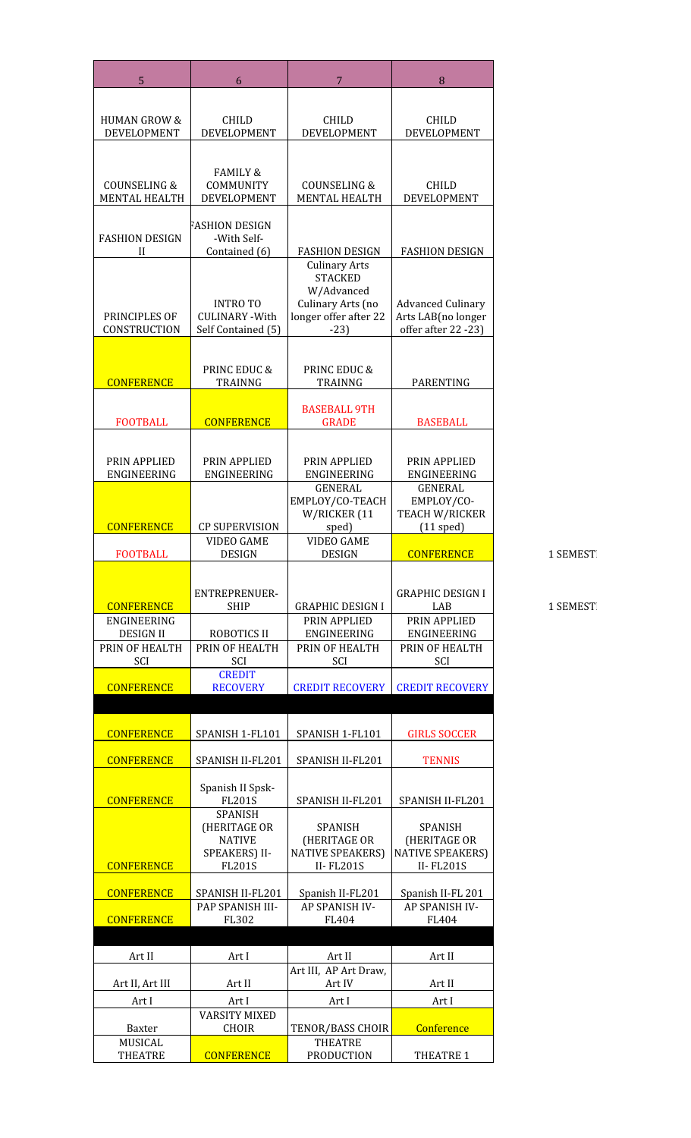| <b>HUMAN GROW &amp;</b><br><b>CHILD</b><br><b>CHILD</b><br><b>CHILD</b><br><b>DEVELOPMENT</b><br>DEVELOPMENT<br><b>DEVELOPMENT</b><br>DEVELOPMENT<br><b>FAMILY &amp;</b><br><b>COUNSELING &amp;</b><br>COMMUNITY<br><b>COUNSELING &amp;</b><br><b>CHILD</b><br><b>MENTAL HEALTH</b><br>DEVELOPMENT<br><b>MENTAL HEALTH</b><br><b>DEVELOPMENT</b><br>FASHION DESIGN<br><b>FASHION DESIGN</b><br>-With Self-<br><b>FASHION DESIGN</b><br><b>FASHION DESIGN</b><br>Contained (6)<br>Н<br><b>Culinary Arts</b><br><b>STACKED</b><br>W/Advanced<br>Culinary Arts (no<br><b>Advanced Culinary</b><br><b>INTROTO</b><br>PRINCIPLES OF<br>longer offer after 22<br>Arts LAB(no longer<br><b>CULINARY - With</b><br>CONSTRUCTION<br>offer after 22 -23)<br>Self Contained (5)<br>$-23$<br>PRINC EDUC &<br>PRINC EDUC &<br><b>CONFERENCE</b><br><b>TRAINNG</b><br>TRAINNG<br><b>PARENTING</b><br><b>BASEBALL 9TH</b><br><b>CONFERENCE</b><br><b>FOOTBALL</b><br><b>BASEBALL</b><br><b>GRADE</b><br>PRIN APPLIED<br>PRIN APPLIED<br>PRIN APPLIED<br>PRIN APPLIED<br>ENGINEERING<br>ENGINEERING<br>ENGINEERING<br>ENGINEERING<br>GENERAL<br>GENERAL<br>EMPLOY/CO-TEACH<br>EMPLOY/CO-<br>W/RICKER (11<br><b>TEACH W/RICKER</b><br><b>CONFERENCE</b><br><b>CP SUPERVISION</b><br>sped)<br>$(11$ sped)<br><b>VIDEO GAME</b><br><b>VIDEO GAME</b><br><b>FOOTBALL</b><br><b>DESIGN</b><br><b>DESIGN</b><br><b>CONFERENCE</b><br>ENTREPRENUER-<br><b>GRAPHIC DESIGN I</b><br><b>GRAPHIC DESIGN I</b><br><b>CONFERENCE</b><br><b>SHIP</b><br>LAB<br>PRIN APPLIED<br>ENGINEERING<br>PRIN APPLIED<br><b>ROBOTICS II</b><br><b>DESIGN II</b><br>ENGINEERING<br>ENGINEERING<br>PRIN OF HEALTH<br>PRIN OF HEALTH<br>PRIN OF HEALTH<br>PRIN OF HEALTH<br>SCI<br>SCI<br><b>SCI</b><br><b>SCI</b><br><b>CREDIT</b><br><b>CONFERENCE</b><br><b>RECOVERY</b><br><b>CREDIT RECOVERY</b><br><b>CREDIT RECOVERY</b><br><b>CONFERENCE</b><br>SPANISH 1-FL101<br>SPANISH 1-FL101<br><b>GIRLS SOCCER</b><br><b>CONFERENCE</b><br>SPANISH II-FL201<br>SPANISH II-FL201<br><b>TENNIS</b><br>Spanish II Spsk-<br><b>CONFERENCE</b><br><b>FL201S</b><br>SPANISH II-FL201<br><b>SPANISH II-FL201</b><br><b>SPANISH</b><br>(HERITAGE OR<br><b>SPANISH</b><br><b>SPANISH</b><br>(HERITAGE OR<br><b>NATIVE</b><br>(HERITAGE OR<br>SPEAKERS) II-<br><b>NATIVE SPEAKERS)</b><br><b>NATIVE SPEAKERS)</b> |                                  |                               |                                     |            |
|------------------------------------------------------------------------------------------------------------------------------------------------------------------------------------------------------------------------------------------------------------------------------------------------------------------------------------------------------------------------------------------------------------------------------------------------------------------------------------------------------------------------------------------------------------------------------------------------------------------------------------------------------------------------------------------------------------------------------------------------------------------------------------------------------------------------------------------------------------------------------------------------------------------------------------------------------------------------------------------------------------------------------------------------------------------------------------------------------------------------------------------------------------------------------------------------------------------------------------------------------------------------------------------------------------------------------------------------------------------------------------------------------------------------------------------------------------------------------------------------------------------------------------------------------------------------------------------------------------------------------------------------------------------------------------------------------------------------------------------------------------------------------------------------------------------------------------------------------------------------------------------------------------------------------------------------------------------------------------------------------------------------------------------------------------------------------------------------------------------------------------------------------------------------------------------------------------------------------------------------------------------------------------------------------------------------------------------------------------|----------------------------------|-------------------------------|-------------------------------------|------------|
|                                                                                                                                                                                                                                                                                                                                                                                                                                                                                                                                                                                                                                                                                                                                                                                                                                                                                                                                                                                                                                                                                                                                                                                                                                                                                                                                                                                                                                                                                                                                                                                                                                                                                                                                                                                                                                                                                                                                                                                                                                                                                                                                                                                                                                                                                                                                                            |                                  |                               |                                     |            |
|                                                                                                                                                                                                                                                                                                                                                                                                                                                                                                                                                                                                                                                                                                                                                                                                                                                                                                                                                                                                                                                                                                                                                                                                                                                                                                                                                                                                                                                                                                                                                                                                                                                                                                                                                                                                                                                                                                                                                                                                                                                                                                                                                                                                                                                                                                                                                            |                                  |                               |                                     |            |
|                                                                                                                                                                                                                                                                                                                                                                                                                                                                                                                                                                                                                                                                                                                                                                                                                                                                                                                                                                                                                                                                                                                                                                                                                                                                                                                                                                                                                                                                                                                                                                                                                                                                                                                                                                                                                                                                                                                                                                                                                                                                                                                                                                                                                                                                                                                                                            |                                  |                               |                                     |            |
|                                                                                                                                                                                                                                                                                                                                                                                                                                                                                                                                                                                                                                                                                                                                                                                                                                                                                                                                                                                                                                                                                                                                                                                                                                                                                                                                                                                                                                                                                                                                                                                                                                                                                                                                                                                                                                                                                                                                                                                                                                                                                                                                                                                                                                                                                                                                                            |                                  |                               |                                     |            |
|                                                                                                                                                                                                                                                                                                                                                                                                                                                                                                                                                                                                                                                                                                                                                                                                                                                                                                                                                                                                                                                                                                                                                                                                                                                                                                                                                                                                                                                                                                                                                                                                                                                                                                                                                                                                                                                                                                                                                                                                                                                                                                                                                                                                                                                                                                                                                            |                                  |                               |                                     |            |
|                                                                                                                                                                                                                                                                                                                                                                                                                                                                                                                                                                                                                                                                                                                                                                                                                                                                                                                                                                                                                                                                                                                                                                                                                                                                                                                                                                                                                                                                                                                                                                                                                                                                                                                                                                                                                                                                                                                                                                                                                                                                                                                                                                                                                                                                                                                                                            |                                  |                               |                                     |            |
|                                                                                                                                                                                                                                                                                                                                                                                                                                                                                                                                                                                                                                                                                                                                                                                                                                                                                                                                                                                                                                                                                                                                                                                                                                                                                                                                                                                                                                                                                                                                                                                                                                                                                                                                                                                                                                                                                                                                                                                                                                                                                                                                                                                                                                                                                                                                                            |                                  |                               |                                     |            |
|                                                                                                                                                                                                                                                                                                                                                                                                                                                                                                                                                                                                                                                                                                                                                                                                                                                                                                                                                                                                                                                                                                                                                                                                                                                                                                                                                                                                                                                                                                                                                                                                                                                                                                                                                                                                                                                                                                                                                                                                                                                                                                                                                                                                                                                                                                                                                            |                                  |                               |                                     |            |
|                                                                                                                                                                                                                                                                                                                                                                                                                                                                                                                                                                                                                                                                                                                                                                                                                                                                                                                                                                                                                                                                                                                                                                                                                                                                                                                                                                                                                                                                                                                                                                                                                                                                                                                                                                                                                                                                                                                                                                                                                                                                                                                                                                                                                                                                                                                                                            |                                  |                               |                                     |            |
|                                                                                                                                                                                                                                                                                                                                                                                                                                                                                                                                                                                                                                                                                                                                                                                                                                                                                                                                                                                                                                                                                                                                                                                                                                                                                                                                                                                                                                                                                                                                                                                                                                                                                                                                                                                                                                                                                                                                                                                                                                                                                                                                                                                                                                                                                                                                                            |                                  |                               |                                     |            |
|                                                                                                                                                                                                                                                                                                                                                                                                                                                                                                                                                                                                                                                                                                                                                                                                                                                                                                                                                                                                                                                                                                                                                                                                                                                                                                                                                                                                                                                                                                                                                                                                                                                                                                                                                                                                                                                                                                                                                                                                                                                                                                                                                                                                                                                                                                                                                            |                                  |                               |                                     |            |
|                                                                                                                                                                                                                                                                                                                                                                                                                                                                                                                                                                                                                                                                                                                                                                                                                                                                                                                                                                                                                                                                                                                                                                                                                                                                                                                                                                                                                                                                                                                                                                                                                                                                                                                                                                                                                                                                                                                                                                                                                                                                                                                                                                                                                                                                                                                                                            |                                  |                               |                                     |            |
|                                                                                                                                                                                                                                                                                                                                                                                                                                                                                                                                                                                                                                                                                                                                                                                                                                                                                                                                                                                                                                                                                                                                                                                                                                                                                                                                                                                                                                                                                                                                                                                                                                                                                                                                                                                                                                                                                                                                                                                                                                                                                                                                                                                                                                                                                                                                                            |                                  |                               |                                     |            |
|                                                                                                                                                                                                                                                                                                                                                                                                                                                                                                                                                                                                                                                                                                                                                                                                                                                                                                                                                                                                                                                                                                                                                                                                                                                                                                                                                                                                                                                                                                                                                                                                                                                                                                                                                                                                                                                                                                                                                                                                                                                                                                                                                                                                                                                                                                                                                            |                                  |                               |                                     |            |
|                                                                                                                                                                                                                                                                                                                                                                                                                                                                                                                                                                                                                                                                                                                                                                                                                                                                                                                                                                                                                                                                                                                                                                                                                                                                                                                                                                                                                                                                                                                                                                                                                                                                                                                                                                                                                                                                                                                                                                                                                                                                                                                                                                                                                                                                                                                                                            |                                  |                               |                                     |            |
|                                                                                                                                                                                                                                                                                                                                                                                                                                                                                                                                                                                                                                                                                                                                                                                                                                                                                                                                                                                                                                                                                                                                                                                                                                                                                                                                                                                                                                                                                                                                                                                                                                                                                                                                                                                                                                                                                                                                                                                                                                                                                                                                                                                                                                                                                                                                                            |                                  |                               |                                     |            |
|                                                                                                                                                                                                                                                                                                                                                                                                                                                                                                                                                                                                                                                                                                                                                                                                                                                                                                                                                                                                                                                                                                                                                                                                                                                                                                                                                                                                                                                                                                                                                                                                                                                                                                                                                                                                                                                                                                                                                                                                                                                                                                                                                                                                                                                                                                                                                            |                                  |                               |                                     |            |
|                                                                                                                                                                                                                                                                                                                                                                                                                                                                                                                                                                                                                                                                                                                                                                                                                                                                                                                                                                                                                                                                                                                                                                                                                                                                                                                                                                                                                                                                                                                                                                                                                                                                                                                                                                                                                                                                                                                                                                                                                                                                                                                                                                                                                                                                                                                                                            |                                  |                               |                                     |            |
|                                                                                                                                                                                                                                                                                                                                                                                                                                                                                                                                                                                                                                                                                                                                                                                                                                                                                                                                                                                                                                                                                                                                                                                                                                                                                                                                                                                                                                                                                                                                                                                                                                                                                                                                                                                                                                                                                                                                                                                                                                                                                                                                                                                                                                                                                                                                                            |                                  |                               |                                     |            |
|                                                                                                                                                                                                                                                                                                                                                                                                                                                                                                                                                                                                                                                                                                                                                                                                                                                                                                                                                                                                                                                                                                                                                                                                                                                                                                                                                                                                                                                                                                                                                                                                                                                                                                                                                                                                                                                                                                                                                                                                                                                                                                                                                                                                                                                                                                                                                            |                                  |                               |                                     |            |
|                                                                                                                                                                                                                                                                                                                                                                                                                                                                                                                                                                                                                                                                                                                                                                                                                                                                                                                                                                                                                                                                                                                                                                                                                                                                                                                                                                                                                                                                                                                                                                                                                                                                                                                                                                                                                                                                                                                                                                                                                                                                                                                                                                                                                                                                                                                                                            |                                  |                               |                                     |            |
|                                                                                                                                                                                                                                                                                                                                                                                                                                                                                                                                                                                                                                                                                                                                                                                                                                                                                                                                                                                                                                                                                                                                                                                                                                                                                                                                                                                                                                                                                                                                                                                                                                                                                                                                                                                                                                                                                                                                                                                                                                                                                                                                                                                                                                                                                                                                                            |                                  |                               |                                     |            |
|                                                                                                                                                                                                                                                                                                                                                                                                                                                                                                                                                                                                                                                                                                                                                                                                                                                                                                                                                                                                                                                                                                                                                                                                                                                                                                                                                                                                                                                                                                                                                                                                                                                                                                                                                                                                                                                                                                                                                                                                                                                                                                                                                                                                                                                                                                                                                            |                                  |                               |                                     |            |
|                                                                                                                                                                                                                                                                                                                                                                                                                                                                                                                                                                                                                                                                                                                                                                                                                                                                                                                                                                                                                                                                                                                                                                                                                                                                                                                                                                                                                                                                                                                                                                                                                                                                                                                                                                                                                                                                                                                                                                                                                                                                                                                                                                                                                                                                                                                                                            |                                  |                               |                                     |            |
|                                                                                                                                                                                                                                                                                                                                                                                                                                                                                                                                                                                                                                                                                                                                                                                                                                                                                                                                                                                                                                                                                                                                                                                                                                                                                                                                                                                                                                                                                                                                                                                                                                                                                                                                                                                                                                                                                                                                                                                                                                                                                                                                                                                                                                                                                                                                                            |                                  |                               |                                     |            |
|                                                                                                                                                                                                                                                                                                                                                                                                                                                                                                                                                                                                                                                                                                                                                                                                                                                                                                                                                                                                                                                                                                                                                                                                                                                                                                                                                                                                                                                                                                                                                                                                                                                                                                                                                                                                                                                                                                                                                                                                                                                                                                                                                                                                                                                                                                                                                            |                                  |                               |                                     |            |
|                                                                                                                                                                                                                                                                                                                                                                                                                                                                                                                                                                                                                                                                                                                                                                                                                                                                                                                                                                                                                                                                                                                                                                                                                                                                                                                                                                                                                                                                                                                                                                                                                                                                                                                                                                                                                                                                                                                                                                                                                                                                                                                                                                                                                                                                                                                                                            |                                  |                               |                                     |            |
|                                                                                                                                                                                                                                                                                                                                                                                                                                                                                                                                                                                                                                                                                                                                                                                                                                                                                                                                                                                                                                                                                                                                                                                                                                                                                                                                                                                                                                                                                                                                                                                                                                                                                                                                                                                                                                                                                                                                                                                                                                                                                                                                                                                                                                                                                                                                                            |                                  |                               |                                     |            |
|                                                                                                                                                                                                                                                                                                                                                                                                                                                                                                                                                                                                                                                                                                                                                                                                                                                                                                                                                                                                                                                                                                                                                                                                                                                                                                                                                                                                                                                                                                                                                                                                                                                                                                                                                                                                                                                                                                                                                                                                                                                                                                                                                                                                                                                                                                                                                            |                                  |                               |                                     |            |
|                                                                                                                                                                                                                                                                                                                                                                                                                                                                                                                                                                                                                                                                                                                                                                                                                                                                                                                                                                                                                                                                                                                                                                                                                                                                                                                                                                                                                                                                                                                                                                                                                                                                                                                                                                                                                                                                                                                                                                                                                                                                                                                                                                                                                                                                                                                                                            |                                  |                               |                                     |            |
|                                                                                                                                                                                                                                                                                                                                                                                                                                                                                                                                                                                                                                                                                                                                                                                                                                                                                                                                                                                                                                                                                                                                                                                                                                                                                                                                                                                                                                                                                                                                                                                                                                                                                                                                                                                                                                                                                                                                                                                                                                                                                                                                                                                                                                                                                                                                                            |                                  |                               |                                     |            |
|                                                                                                                                                                                                                                                                                                                                                                                                                                                                                                                                                                                                                                                                                                                                                                                                                                                                                                                                                                                                                                                                                                                                                                                                                                                                                                                                                                                                                                                                                                                                                                                                                                                                                                                                                                                                                                                                                                                                                                                                                                                                                                                                                                                                                                                                                                                                                            |                                  |                               |                                     |            |
|                                                                                                                                                                                                                                                                                                                                                                                                                                                                                                                                                                                                                                                                                                                                                                                                                                                                                                                                                                                                                                                                                                                                                                                                                                                                                                                                                                                                                                                                                                                                                                                                                                                                                                                                                                                                                                                                                                                                                                                                                                                                                                                                                                                                                                                                                                                                                            |                                  |                               |                                     |            |
|                                                                                                                                                                                                                                                                                                                                                                                                                                                                                                                                                                                                                                                                                                                                                                                                                                                                                                                                                                                                                                                                                                                                                                                                                                                                                                                                                                                                                                                                                                                                                                                                                                                                                                                                                                                                                                                                                                                                                                                                                                                                                                                                                                                                                                                                                                                                                            |                                  |                               |                                     |            |
|                                                                                                                                                                                                                                                                                                                                                                                                                                                                                                                                                                                                                                                                                                                                                                                                                                                                                                                                                                                                                                                                                                                                                                                                                                                                                                                                                                                                                                                                                                                                                                                                                                                                                                                                                                                                                                                                                                                                                                                                                                                                                                                                                                                                                                                                                                                                                            |                                  |                               |                                     |            |
|                                                                                                                                                                                                                                                                                                                                                                                                                                                                                                                                                                                                                                                                                                                                                                                                                                                                                                                                                                                                                                                                                                                                                                                                                                                                                                                                                                                                                                                                                                                                                                                                                                                                                                                                                                                                                                                                                                                                                                                                                                                                                                                                                                                                                                                                                                                                                            |                                  |                               |                                     |            |
|                                                                                                                                                                                                                                                                                                                                                                                                                                                                                                                                                                                                                                                                                                                                                                                                                                                                                                                                                                                                                                                                                                                                                                                                                                                                                                                                                                                                                                                                                                                                                                                                                                                                                                                                                                                                                                                                                                                                                                                                                                                                                                                                                                                                                                                                                                                                                            |                                  |                               |                                     |            |
| <b>CONFERENCE</b><br><b>II-FL201S</b><br><b>II-FL201S</b><br><b>FL201S</b>                                                                                                                                                                                                                                                                                                                                                                                                                                                                                                                                                                                                                                                                                                                                                                                                                                                                                                                                                                                                                                                                                                                                                                                                                                                                                                                                                                                                                                                                                                                                                                                                                                                                                                                                                                                                                                                                                                                                                                                                                                                                                                                                                                                                                                                                                 |                                  |                               |                                     |            |
| <b>CONFERENCE</b><br><b>SPANISH II-FL201</b><br>Spanish II-FL201<br>Spanish II-FL 201                                                                                                                                                                                                                                                                                                                                                                                                                                                                                                                                                                                                                                                                                                                                                                                                                                                                                                                                                                                                                                                                                                                                                                                                                                                                                                                                                                                                                                                                                                                                                                                                                                                                                                                                                                                                                                                                                                                                                                                                                                                                                                                                                                                                                                                                      |                                  |                               |                                     |            |
| AP SPANISH IV-<br>AP SPANISH IV-<br><b>PAP SPANISH III-</b>                                                                                                                                                                                                                                                                                                                                                                                                                                                                                                                                                                                                                                                                                                                                                                                                                                                                                                                                                                                                                                                                                                                                                                                                                                                                                                                                                                                                                                                                                                                                                                                                                                                                                                                                                                                                                                                                                                                                                                                                                                                                                                                                                                                                                                                                                                |                                  |                               |                                     |            |
| <b>CONFERENCE</b><br>FL302<br>FL404<br>FL404                                                                                                                                                                                                                                                                                                                                                                                                                                                                                                                                                                                                                                                                                                                                                                                                                                                                                                                                                                                                                                                                                                                                                                                                                                                                                                                                                                                                                                                                                                                                                                                                                                                                                                                                                                                                                                                                                                                                                                                                                                                                                                                                                                                                                                                                                                               |                                  |                               |                                     |            |
| Art II<br>Art I<br>Art II<br>Art II                                                                                                                                                                                                                                                                                                                                                                                                                                                                                                                                                                                                                                                                                                                                                                                                                                                                                                                                                                                                                                                                                                                                                                                                                                                                                                                                                                                                                                                                                                                                                                                                                                                                                                                                                                                                                                                                                                                                                                                                                                                                                                                                                                                                                                                                                                                        |                                  |                               |                                     |            |
| Art III, AP Art Draw,                                                                                                                                                                                                                                                                                                                                                                                                                                                                                                                                                                                                                                                                                                                                                                                                                                                                                                                                                                                                                                                                                                                                                                                                                                                                                                                                                                                                                                                                                                                                                                                                                                                                                                                                                                                                                                                                                                                                                                                                                                                                                                                                                                                                                                                                                                                                      |                                  |                               |                                     |            |
| Art II<br>Art IV<br>Art II, Art III<br>Art II                                                                                                                                                                                                                                                                                                                                                                                                                                                                                                                                                                                                                                                                                                                                                                                                                                                                                                                                                                                                                                                                                                                                                                                                                                                                                                                                                                                                                                                                                                                                                                                                                                                                                                                                                                                                                                                                                                                                                                                                                                                                                                                                                                                                                                                                                                              |                                  |                               |                                     |            |
|                                                                                                                                                                                                                                                                                                                                                                                                                                                                                                                                                                                                                                                                                                                                                                                                                                                                                                                                                                                                                                                                                                                                                                                                                                                                                                                                                                                                                                                                                                                                                                                                                                                                                                                                                                                                                                                                                                                                                                                                                                                                                                                                                                                                                                                                                                                                                            | Art I                            | Art I<br><b>VARSITY MIXED</b> | Art I                               | Art I      |
|                                                                                                                                                                                                                                                                                                                                                                                                                                                                                                                                                                                                                                                                                                                                                                                                                                                                                                                                                                                                                                                                                                                                                                                                                                                                                                                                                                                                                                                                                                                                                                                                                                                                                                                                                                                                                                                                                                                                                                                                                                                                                                                                                                                                                                                                                                                                                            | Baxter                           | <b>CHOIR</b>                  | TENOR/BASS CHOIR                    | Conference |
|                                                                                                                                                                                                                                                                                                                                                                                                                                                                                                                                                                                                                                                                                                                                                                                                                                                                                                                                                                                                                                                                                                                                                                                                                                                                                                                                                                                                                                                                                                                                                                                                                                                                                                                                                                                                                                                                                                                                                                                                                                                                                                                                                                                                                                                                                                                                                            | <b>MUSICAL</b><br><b>THEATRE</b> | <b>CONFERENCE</b>             | <b>THEATRE</b><br><b>PRODUCTION</b> | THEATRE 1  |

1 SEMEST

1 SEMEST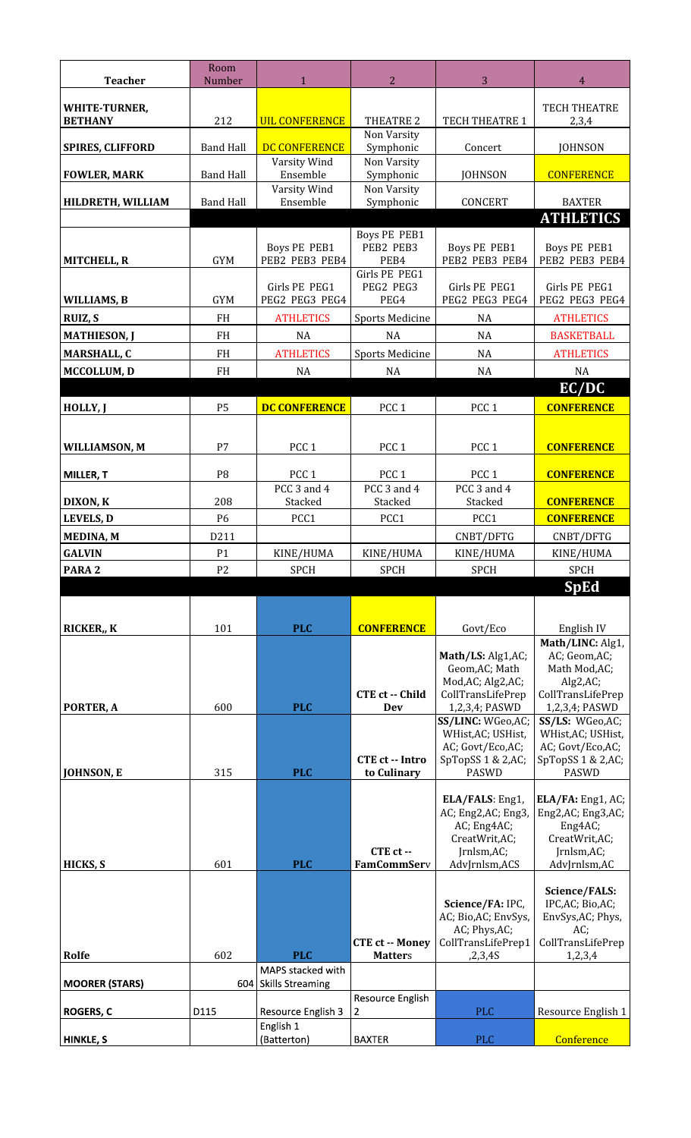| <b>Teacher</b>                         | Room<br>Number       | $\mathbf{1}$                          | $\overline{2}$                       | 3                                      | $\overline{4}$                         |
|----------------------------------------|----------------------|---------------------------------------|--------------------------------------|----------------------------------------|----------------------------------------|
|                                        |                      |                                       |                                      |                                        |                                        |
| <b>WHITE-TURNER,</b><br><b>BETHANY</b> | 212                  | <b>UIL CONFERENCE</b>                 | THEATRE 2                            | TECH THEATRE 1                         | <b>TECH THEATRE</b><br>2,3,4           |
|                                        |                      |                                       | Non Varsity                          |                                        |                                        |
| <b>SPIRES, CLIFFORD</b>                | <b>Band Hall</b>     | DC CONFERENCE                         | Symphonic                            | Concert                                | <b>JOHNSON</b>                         |
| <b>FOWLER, MARK</b>                    | <b>Band Hall</b>     | Varsity Wind<br>Ensemble              | Non Varsity<br>Symphonic             | <b>JOHNSON</b>                         | <b>CONFERENCE</b>                      |
| HILDRETH, WILLIAM                      | <b>Band Hall</b>     | Varsity Wind<br>Ensemble              | Non Varsity<br>Symphonic             | CONCERT                                | <b>BAXTER</b>                          |
|                                        |                      |                                       |                                      |                                        | <b>ATHLETICS</b>                       |
|                                        |                      |                                       | <b>Boys PE PEB1</b>                  |                                        |                                        |
| <b>MITCHELL, R</b>                     | <b>GYM</b>           | <b>Boys PE PEB1</b><br>PEB2 PEB3 PEB4 | PEB2 PEB3<br>PEB4                    | <b>Boys PE PEB1</b><br>PEB2 PEB3 PEB4  | <b>Boys PE PEB1</b><br>PEB2 PEB3 PEB4  |
|                                        |                      |                                       | Girls PE PEG1                        |                                        |                                        |
| WILLIAMS, B                            | <b>GYM</b>           | Girls PE PEG1<br>PEG2 PEG3 PEG4       | PEG2 PEG3<br>PEG4                    | Girls PE PEG1<br>PEG2 PEG3 PEG4        | Girls PE PEG1<br>PEG2 PEG3 PEG4        |
| RUIZ, S                                | <b>FH</b>            | <b>ATHLETICS</b>                      | <b>Sports Medicine</b>               | <b>NA</b>                              | <b>ATHLETICS</b>                       |
| <b>MATHIESON, J</b>                    | <b>FH</b>            | <b>NA</b>                             | <b>NA</b>                            | <b>NA</b>                              | <b>BASKETBALL</b>                      |
| <b>MARSHALL, C</b>                     | <b>FH</b>            | <b>ATHLETICS</b>                      | <b>Sports Medicine</b>               | NA                                     | <b>ATHLETICS</b>                       |
| <b>MCCOLLUM, D</b>                     | FH                   | <b>NA</b>                             | NA                                   | <b>NA</b>                              | NA                                     |
| HOLLY, J                               | <b>P5</b>            | <b>DC CONFERENCE</b>                  | PCC <sub>1</sub>                     | PCC <sub>1</sub>                       | EC/DC<br><b>CONFERENCE</b>             |
|                                        |                      |                                       |                                      |                                        |                                        |
| <b>WILLIAMSON, M</b>                   | P7                   | PCC <sub>1</sub>                      | PCC <sub>1</sub>                     | PCC <sub>1</sub>                       | <b>CONFERENCE</b>                      |
|                                        |                      |                                       |                                      |                                        |                                        |
| <b>MILLER, T</b>                       | P <sub>8</sub>       | PCC <sub>1</sub><br>PCC 3 and 4       | PCC <sub>1</sub><br>PCC 3 and 4      | PCC <sub>1</sub><br>PCC 3 and 4        | <b>CONFERENCE</b>                      |
| DIXON, K                               | 208                  | Stacked                               | Stacked                              | Stacked                                | <b>CONFERENCE</b>                      |
| <b>LEVELS, D</b>                       | P6                   | PCC1                                  | PCC1                                 | PCC1                                   | <b>CONFERENCE</b>                      |
| MEDINA, M                              | D211                 |                                       |                                      | CNBT/DFTG                              | CNBT/DFTG                              |
| <b>GALVIN</b><br>PARA <sub>2</sub>     | P1<br>P <sub>2</sub> | KINE/HUMA                             | KINE/HUMA                            | KINE/HUMA                              | KINE/HUMA                              |
|                                        |                      | <b>SPCH</b>                           | <b>SPCH</b>                          | <b>SPCH</b>                            | <b>SPCH</b><br><b>SpEd</b>             |
|                                        |                      |                                       |                                      |                                        |                                        |
| RICKER,, K                             | 101                  | <b>PLC</b>                            | <b>CONFERENCE</b>                    | Govt/Eco                               | English IV                             |
|                                        |                      |                                       |                                      |                                        | Math/LINC: Alg1,                       |
|                                        |                      |                                       |                                      | Math/LS: Alg1,AC;<br>Geom, AC; Math    | AC; Geom, AC;<br>Math Mod, AC;         |
|                                        |                      |                                       |                                      | Mod, AC; Alg2, AC;                     | Alg2, AC;                              |
| PORTER, A                              | 600                  | <b>PLC</b>                            | <b>CTE ct -- Child</b><br><b>Dev</b> | CollTransLifePrep<br>1,2,3,4; PASWD    | CollTransLifePrep<br>1,2,3,4; PASWD    |
|                                        |                      |                                       |                                      | SS/LINC: WGeo, AC;                     |                                        |
|                                        |                      |                                       |                                      |                                        | SS/LS: WGeo,AC;                        |
|                                        |                      |                                       |                                      | WHist, AC; USHist,<br>AC; Govt/Eco,AC; | WHist, AC; USHist,<br>AC; Govt/Eco,AC; |
|                                        |                      |                                       | <b>CTE ct -- Intro</b>               | SpTopSS 1 & 2,AC;                      | SpTopSS 1 & 2,AC;                      |
| JOHNSON, E                             | 315                  | <b>PLC</b>                            | to Culinary                          | <b>PASWD</b>                           | <b>PASWD</b>                           |
|                                        |                      |                                       |                                      | ELA/FALS: Eng1,                        | ELA/FA: Eng1, AC;                      |
|                                        |                      |                                       |                                      | AC; Eng2,AC; Eng3,<br>AC; Eng4AC;      | Eng2,AC; Eng3,AC;<br>Eng4AC;           |
|                                        |                      |                                       |                                      | CreatWrit,AC;                          | CreatWrit,AC;                          |
| HICKS, S                               | 601                  | <b>PLC</b>                            | CTE ct --<br><b>FamCommServ</b>      | Jrnlsm,AC;<br>AdvJrnlsm,ACS            | Jrnlsm,AC;<br>AdvJrnlsm,AC             |
|                                        |                      |                                       |                                      |                                        | Science/FALS:                          |
|                                        |                      |                                       |                                      | Science/FA: IPC,                       | IPC, AC; Bio, AC;                      |
|                                        |                      |                                       |                                      | AC; Bio,AC; EnvSys,<br>AC; Phys,AC;    | EnvSys, AC; Phys,<br>$AC$ ;            |
|                                        |                      |                                       | <b>CTE ct -- Money</b>               | CollTransLifePrep1                     | CollTransLifePrep                      |
| Rolfe                                  | 602                  | <b>PLC</b><br>MAPS stacked with       | <b>Matters</b>                       | ,2,3,4S                                | 1,2,3,4                                |
| <b>MOORER (STARS)</b>                  |                      | 604 Skills Streaming                  |                                      |                                        |                                        |
| <b>ROGERS, C</b>                       | D115                 | Resource English 3                    | Resource English<br>2                | <b>PLC</b>                             | Resource English 1                     |
| <b>HINKLE, S</b>                       |                      | English 1<br>(Batterton)              | <b>BAXTER</b>                        | <b>PLC</b>                             | Conference                             |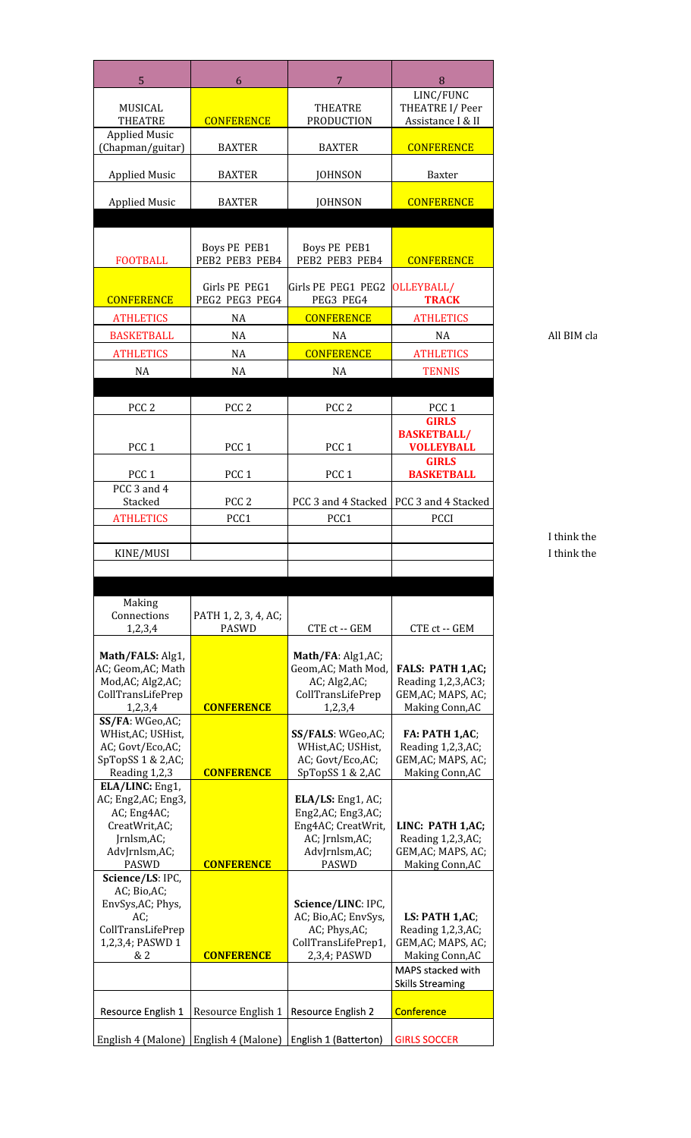| 5                                        | 6                                       | $\overline{7}$                                                  | 8                                             |
|------------------------------------------|-----------------------------------------|-----------------------------------------------------------------|-----------------------------------------------|
|                                          |                                         |                                                                 | LINC/FUNC                                     |
| MUSICAL<br><b>THEATRE</b>                | <b>CONFERENCE</b>                       | <b>THEATRE</b><br><b>PRODUCTION</b>                             | THEATRE I/ Peer<br>Assistance I & II          |
| <b>Applied Music</b><br>(Chapman/guitar) | <b>BAXTER</b>                           | <b>BAXTER</b>                                                   | <b>CONFERENCE</b>                             |
|                                          |                                         |                                                                 |                                               |
| <b>Applied Music</b>                     | <b>BAXTER</b>                           | <b>JOHNSON</b>                                                  | Baxter                                        |
| <b>Applied Music</b>                     | <b>BAXTER</b>                           | <b>JOHNSON</b>                                                  | <b>CONFERENCE</b>                             |
|                                          |                                         |                                                                 |                                               |
| <b>FOOTBALL</b>                          | <b>Boys PE PEB1</b><br>PEB2 PEB3 PEB4   | <b>Boys PE PEB1</b><br>PEB2 PEB3 PEB4                           | <b>CONFERENCE</b>                             |
|                                          | Girls PE PEG1                           | Girls PE PEG1 PEG2                                              | OLLEYBALL/                                    |
| <b>CONFERENCE</b>                        | PEG2 PEG3 PEG4                          | PEG3 PEG4                                                       | <b>TRACK</b>                                  |
| <b>ATHLETICS</b>                         | NA                                      | <b>CONFERENCE</b>                                               | <b>ATHLETICS</b>                              |
| <b>BASKETBALL</b>                        | <b>NA</b>                               | NA                                                              | NA                                            |
| <b>ATHLETICS</b>                         | $\rm NA$                                | <b>CONFERENCE</b>                                               | <b>ATHLETICS</b>                              |
| NA                                       | NA                                      | NA                                                              | <b>TENNIS</b>                                 |
| PCC <sub>2</sub>                         | PCC <sub>2</sub>                        | PCC <sub>2</sub>                                                | PCC <sub>1</sub>                              |
|                                          |                                         |                                                                 | <b>GIRLS</b>                                  |
| PCC <sub>1</sub>                         | PCC <sub>1</sub>                        | PCC <sub>1</sub>                                                | <b>BASKETBALL/</b><br><b>VOLLEYBALL</b>       |
|                                          |                                         |                                                                 | <b>GIRLS</b>                                  |
| PCC <sub>1</sub>                         | PCC <sub>1</sub>                        | PCC <sub>1</sub>                                                | <b>BASKETBALL</b>                             |
| PCC 3 and 4<br>Stacked                   | PCC <sub>2</sub>                        | PCC 3 and 4 Stacked                                             | PCC 3 and 4 Stacked                           |
| <b>ATHLETICS</b>                         | PCC1                                    | PCC1                                                            | PCCI                                          |
|                                          |                                         |                                                                 |                                               |
| KINE/MUSI                                |                                         |                                                                 |                                               |
|                                          |                                         |                                                                 |                                               |
| Making                                   |                                         |                                                                 |                                               |
| Connections                              | PATH 1, 2, 3, 4, AC;                    |                                                                 |                                               |
| 1,2,3,4                                  | <b>PASWD</b>                            | CTE ct -- GEM                                                   | CTE ct -- GEM                                 |
| Math/FALS: Alg1,                         |                                         | Math/FA: Alg1,AC;                                               |                                               |
| AC; Geom, AC; Math<br>Mod, AC; Alg2, AC; |                                         | Geom, AC; Math Mod,<br>AC; Alg2,AC;                             | <b>FALS: PATH 1,AC;</b><br>Reading 1,2,3,AC3; |
| CollTransLifePrep                        |                                         | CollTransLifePrep                                               | GEM, AC; MAPS, AC;                            |
| 1,2,3,4<br>SS/FA: WGeo, AC;              | <b>CONFERENCE</b>                       | 1,2,3,4                                                         | Making Conn, AC                               |
| WHist, AC; USHist,                       |                                         | SS/FALS: WGeo, AC;                                              | FA: PATH 1,AC;                                |
| AC; Govt/Eco,AC;<br>SpTopSS 1 & 2,AC;    |                                         | WHist, AC; USHist,<br>AC; Govt/Eco,AC;                          | Reading 1,2,3,AC;<br>GEM, AC; MAPS, AC;       |
| Reading 1,2,3                            | <b>CONFERENCE</b>                       | SpTopSS 1 & 2,AC                                                | Making Conn, AC                               |
| ELA/LINC: Eng1,<br>AC; Eng2,AC; Eng3,    |                                         | ELA/LS: Eng1, AC;                                               |                                               |
| AC; Eng4AC;                              |                                         | Eng2,AC; Eng3,AC;                                               |                                               |
| CreatWrit,AC;<br>Jrnlsm,AC;              |                                         | Eng4AC; CreatWrit,<br>AC; Jrnlsm,AC;                            | LINC: PATH 1,AC;<br>Reading 1,2,3,AC;         |
| AdvJrnlsm,AC;                            |                                         | AdvJrnlsm,AC;                                                   | GEM, AC; MAPS, AC;                            |
| PASWD<br>Science/LS: IPC,                | <b>CONFERENCE</b>                       | PASWD                                                           | Making Conn, AC                               |
| AC; Bio,AC;                              |                                         |                                                                 |                                               |
| EnvSys, AC; Phys,<br>AC;                 |                                         | Science/LINC: IPC,<br>AC; Bio,AC; EnvSys,                       | LS: PATH 1,AC;                                |
| CollTransLifePrep                        |                                         | AC; Phys,AC;                                                    | Reading 1,2,3,AC;                             |
| 1,2,3,4; PASWD 1<br>& 2                  | <b>CONFERENCE</b>                       | CollTransLifePrep1,<br>2,3,4; PASWD                             | GEM, AC; MAPS, AC;<br>Making Conn, AC         |
|                                          |                                         |                                                                 | MAPS stacked with                             |
|                                          |                                         |                                                                 | <b>Skills Streaming</b>                       |
| Resource English 1                       | Resource English 1   Resource English 2 |                                                                 | Conference                                    |
|                                          |                                         | English 4 (Malone)   English 4 (Malone)   English 1 (Batterton) | <b>GIRLS SOCCER</b>                           |
|                                          |                                         |                                                                 |                                               |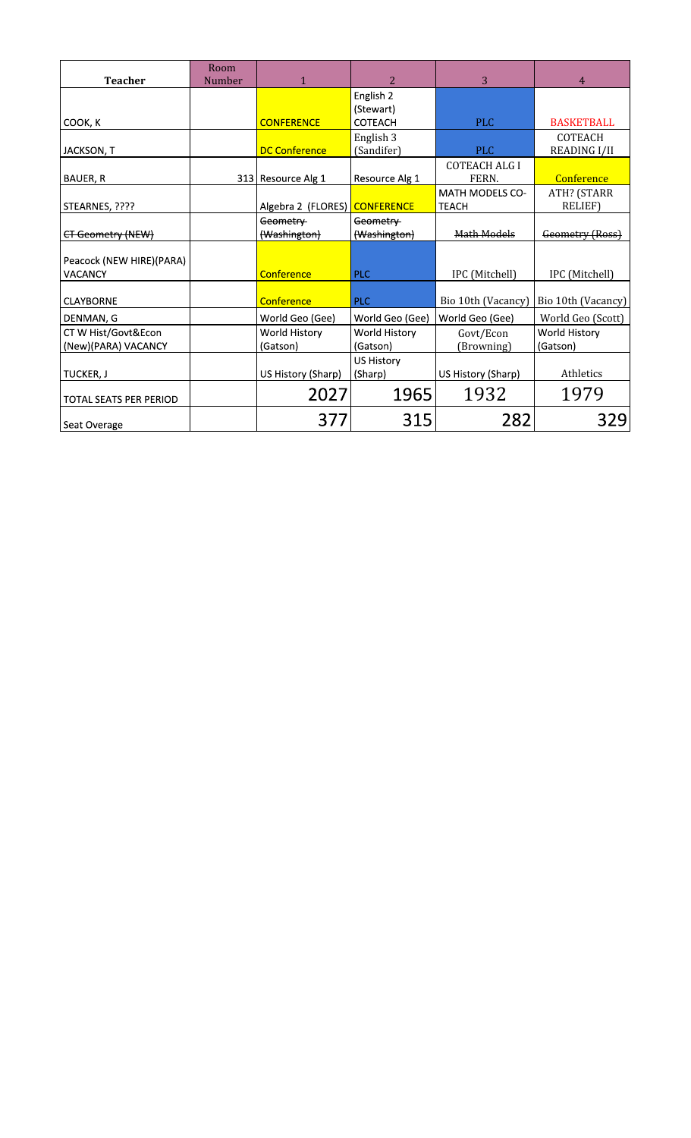| <b>Teacher</b>                             | Room<br>Number | 1                         | $\overline{2}$                           | 3                                      | $\overline{4}$                        |
|--------------------------------------------|----------------|---------------------------|------------------------------------------|----------------------------------------|---------------------------------------|
| COOK, K                                    |                | <b>CONFERENCE</b>         | English 2<br>(Stewart)<br><b>COTEACH</b> | <b>PLC</b>                             | <b>BASKETBALL</b>                     |
| JACKSON, T                                 |                | <b>DC Conference</b>      | English 3<br>(Sandifer)                  | <b>PLC</b>                             | <b>COTEACH</b><br><b>READING I/II</b> |
| BAUER, R                                   |                | 313 Resource Alg 1        | Resource Alg 1                           | <b>COTEACH ALG I</b><br>FERN.          | <b>Conference</b>                     |
| STEARNES, ????                             |                | Algebra 2 (FLORES)        | <b>CONFERENCE</b>                        | <b>MATH MODELS CO-</b><br><b>TEACH</b> | ATH? (STARR<br><b>RELIEF)</b>         |
| CT Geometry (NEW)                          |                | Geometry<br>(Washington)  | Geometry<br>(Washington)                 | Math Models                            | Geometry (Ross)                       |
| Peacock (NEW HIRE)(PARA)<br><b>VACANCY</b> |                | Conference                | <b>PLC</b>                               | IPC (Mitchell)                         | IPC (Mitchell)                        |
| <b>CLAYBORNE</b>                           |                | Conference                | <b>PLC</b>                               | Bio 10th (Vacancy)                     | Bio 10th (Vacancy)                    |
| DENMAN, G                                  |                | World Geo (Gee)           | World Geo (Gee)                          | World Geo (Gee)                        | World Geo (Scott)                     |
| CT W Hist/Govt&Econ<br>(New)(PARA) VACANCY |                | World History<br>(Gatson) | World History<br>(Gatson)                | Govt/Econ<br>(Browning)                | World History<br>(Gatson)             |
| TUCKER, J                                  |                | US History (Sharp)        | <b>US History</b><br>(Sharp)             | US History (Sharp)                     | Athletics                             |
| TOTAL SEATS PER PERIOD                     |                | 2027                      | 1965                                     | 1932                                   | 1979                                  |
| Seat Overage                               |                | 377                       | 315                                      | 282                                    | 329                                   |